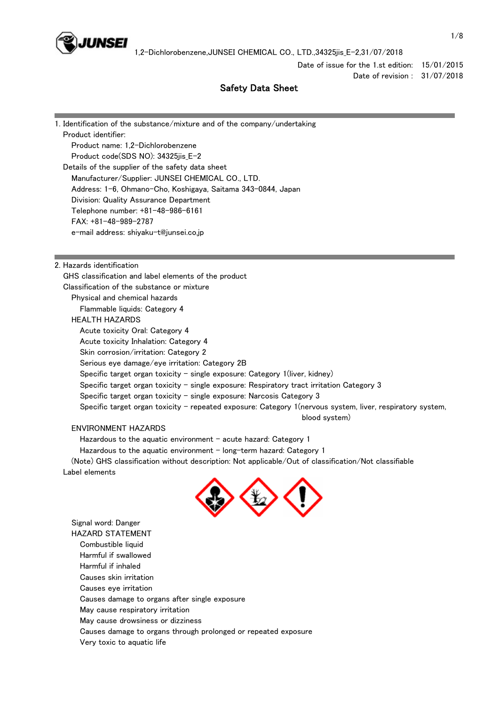

Date of issue for the 1.st edition: 15/01/2015 Date of revision : 31/07/2018

# Safety Data Sheet

1. Identification of the substance/mixture and of the company/undertaking Product identifier: Product name: 1,2-Dichlorobenzene Product code(SDS NO): 34325jis\_E-2 Details of the supplier of the safety data sheet Manufacturer/Supplier: JUNSEI CHEMICAL CO., LTD. Address: 1-6, Ohmano-Cho, Koshigaya, Saitama 343-0844, Japan Division: Quality Assurance Department Telephone number: +81-48-986-6161 FAX: +81-48-989-2787 e-mail address: shiyaku-t@junsei.co.jp

### 2. Hazards identification

 GHS classification and label elements of the product Classification of the substance or mixture Physical and chemical hazards Flammable liquids: Category 4 HEALTH HAZARDS Acute toxicity Oral: Category 4 Acute toxicity Inhalation: Category 4 Skin corrosion/irritation: Category 2 Serious eye damage/eye irritation: Category 2B Specific target organ toxicity - single exposure: Category  $1$ (liver, kidney) Specific target organ toxicity - single exposure: Respiratory tract irritation Category 3 Specific target organ toxicity  $-$  single exposure: Narcosis Category 3 Specific target organ toxicity - repeated exposure: Category 1(nervous system, liver, respiratory system, blood system)

### ENVIRONMENT HAZARDS

Hazardous to the aquatic environment  $-$  acute hazard: Category 1

Hazardous to the aquatic environment  $-$  long-term hazard: Category 1

 (Note) GHS classification without description: Not applicable/Out of classification/Not classifiable Label elements



 Signal word: Danger HAZARD STATEMENT Combustible liquid Harmful if swallowed Harmful if inhaled Causes skin irritation Causes eye irritation Causes damage to organs after single exposure May cause respiratory irritation May cause drowsiness or dizziness Causes damage to organs through prolonged or repeated exposure Very toxic to aquatic life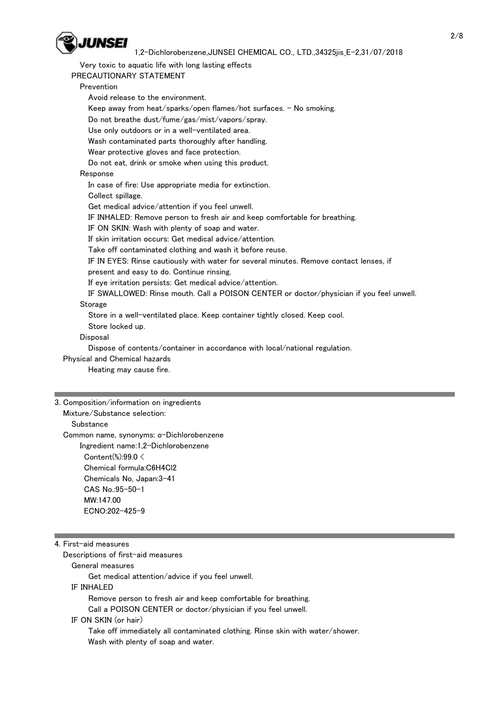

 Very toxic to aquatic life with long lasting effects PRECAUTIONARY STATEMENT Prevention Avoid release to the environment. Keep away from heat/sparks/open flames/hot surfaces. - No smoking. Do not breathe dust/fume/gas/mist/vapors/spray. Use only outdoors or in a well-ventilated area. Wash contaminated parts thoroughly after handling. Wear protective gloves and face protection. Do not eat, drink or smoke when using this product. Response In case of fire: Use appropriate media for extinction. Collect spillage. Get medical advice/attention if you feel unwell. IF INHALED: Remove person to fresh air and keep comfortable for breathing. IF ON SKIN: Wash with plenty of soap and water. If skin irritation occurs: Get medical advice/attention. Take off contaminated clothing and wash it before reuse. IF IN EYES: Rinse cautiously with water for several minutes. Remove contact lenses, if present and easy to do. Continue rinsing. If eye irritation persists: Get medical advice/attention. IF SWALLOWED: Rinse mouth. Call a POISON CENTER or doctor/physician if you feel unwell. Storage Store in a well-ventilated place. Keep container tightly closed. Keep cool. Store locked up. **Disposal** Dispose of contents/container in accordance with local/national regulation.

 Physical and Chemical hazards Heating may cause fire.

3. Composition/information on ingredients

Mixture/Substance selection:

### **Substance**

Common name, synonyms: o-Dichlorobenzene

 Ingredient name:1,2-Dichlorobenzene Content(%):99.0 < Chemical formula:C6H4Cl2 Chemicals No, Japan:3-41

# CAS No.:95-50-1 MW:147.00 ECNO:202-425-9

## 4. First-aid measures

Descriptions of first-aid measures

General measures

Get medical attention/advice if you feel unwell.

IF INHALED

Remove person to fresh air and keep comfortable for breathing.

Call a POISON CENTER or doctor/physician if you feel unwell.

## IF ON SKIN (or hair)

 Take off immediately all contaminated clothing. Rinse skin with water/shower. Wash with plenty of soap and water.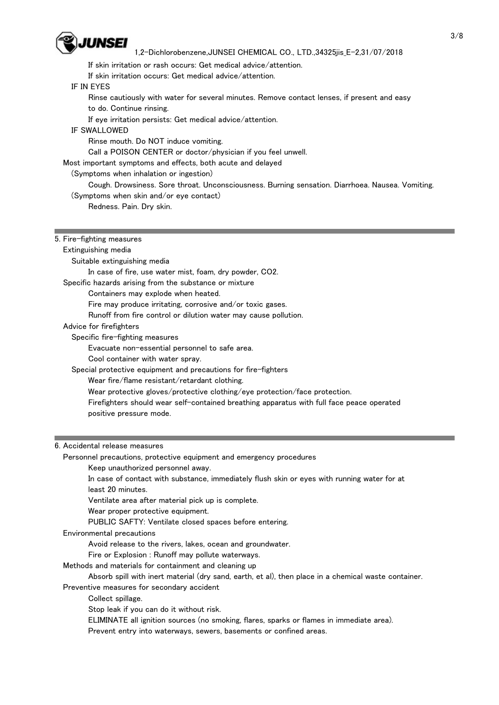

## 1,2-Dichlorobenzene,JUNSEI CHEMICAL CO., LTD.,34325jis\_E-2,31/07/2018

If skin irritation or rash occurs: Get medical advice/attention.

If skin irritation occurs: Get medical advice/attention.

## IF IN EYES

 Rinse cautiously with water for several minutes. Remove contact lenses, if present and easy to do. Continue rinsing.

If eye irritation persists: Get medical advice/attention.

IF SWALLOWED

Rinse mouth. Do NOT induce vomiting.

Call a POISON CENTER or doctor/physician if you feel unwell.

Most important symptoms and effects, both acute and delayed

#### (Symptoms when inhalation or ingestion)

 Cough. Drowsiness. Sore throat. Unconsciousness. Burning sensation. Diarrhoea. Nausea. Vomiting. (Symptoms when skin and/or eye contact)

Redness. Pain. Dry skin.

#### 5. Fire-fighting measures

#### Extinguishing media

Suitable extinguishing media

In case of fire, use water mist, foam, dry powder, CO2.

Specific hazards arising from the substance or mixture

Containers may explode when heated.

Fire may produce irritating, corrosive and/or toxic gases.

Runoff from fire control or dilution water may cause pollution.

Advice for firefighters

Specific fire-fighting measures

Evacuate non-essential personnel to safe area.

Cool container with water spray.

Special protective equipment and precautions for fire-fighters

Wear fire/flame resistant/retardant clothing.

Wear protective gloves/protective clothing/eye protection/face protection.

 Firefighters should wear self-contained breathing apparatus with full face peace operated positive pressure mode.

### 6. Accidental release measures

Personnel precautions, protective equipment and emergency procedures

Keep unauthorized personnel away.

 In case of contact with substance, immediately flush skin or eyes with running water for at least 20 minutes.

Ventilate area after material pick up is complete.

Wear proper protective equipment.

PUBLIC SAFTY: Ventilate closed spaces before entering.

#### Environmental precautions

Avoid release to the rivers, lakes, ocean and groundwater.

Fire or Explosion : Runoff may pollute waterways.

Methods and materials for containment and cleaning up

 Absorb spill with inert material (dry sand, earth, et al), then place in a chemical waste container. Preventive measures for secondary accident

Collect spillage.

Stop leak if you can do it without risk.

ELIMINATE all ignition sources (no smoking, flares, sparks or flames in immediate area).

Prevent entry into waterways, sewers, basements or confined areas.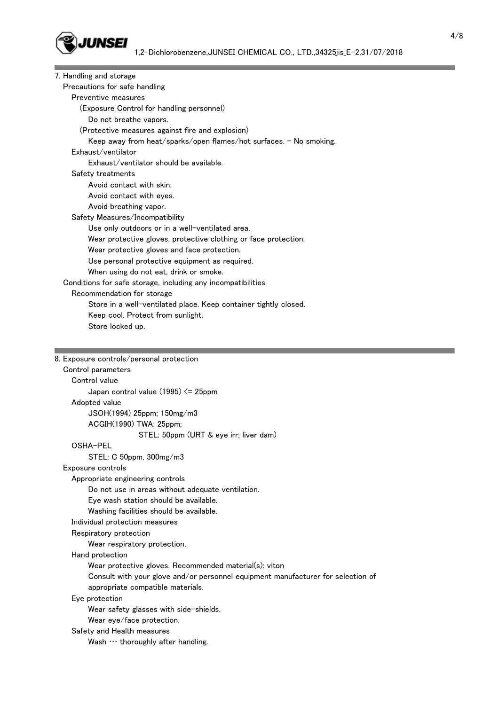

| 7. Handling and storage                                            |
|--------------------------------------------------------------------|
| Precautions for safe handling                                      |
| Preventive measures                                                |
| (Exposure Control for handling personnel)                          |
| Do not breathe vapors.                                             |
| (Protective measures against fire and explosion)                   |
| Keep away from heat/sparks/open flames/hot surfaces. - No smoking. |
| Exhaust/ventilator                                                 |
| Exhaust/ventilator should be available.                            |
| Safety treatments                                                  |
| Avoid contact with skin.                                           |
| Avoid contact with eyes.                                           |
| Avoid breathing vapor.                                             |
| Safety Measures/Incompatibility                                    |
| Use only outdoors or in a well-ventilated area.                    |
| Wear protective gloves, protective clothing or face protection.    |
| Wear protective gloves and face protection.                        |
| Use personal protective equipment as required.                     |
| When using do not eat, drink or smoke.                             |
| Conditions for safe storage, including any incompatibilities       |
| Recommendation for storage                                         |
| Store in a well-ventilated place. Keep container tightly closed.   |
| Keep cool. Protect from sunlight.                                  |
| Store locked up.                                                   |
|                                                                    |
| 8. Exposure controls/personal protection                           |
|                                                                    |
| Control parameters<br>Control value                                |
| Japan control value $(1995) \le 25$ ppm                            |
|                                                                    |
| Adopted value                                                      |
| JSOH(1994) 25ppm; 150mg/m3<br>ACGIH(1990) TWA: 25ppm;              |
|                                                                    |
| STEL: 50ppm (URT & eye irr; liver dam)<br>OSHA-PEL                 |
| STEL: C 50ppm, 300mg/m3                                            |
| Exposure controls                                                  |
| Appropriate engineering controls                                   |
| Do not use in areas without adequate ventilation.                  |
| Eye wash station should be available.                              |
| Washing facilities should be available.                            |
| Individual protection measures                                     |
| Respiratory protection                                             |
| Wear respiratory protection.                                       |
| Hand protection                                                    |
| Wear protective gloves. Recommended material(s): viton             |
|                                                                    |

 Consult with your glove and/or personnel equipment manufacturer for selection of appropriate compatible materials.

Eye protection

Wear safety glasses with side-shields.

Wear eye/face protection.

Safety and Health measures

Wash  $\cdots$  thoroughly after handling.

and the state of the state of the state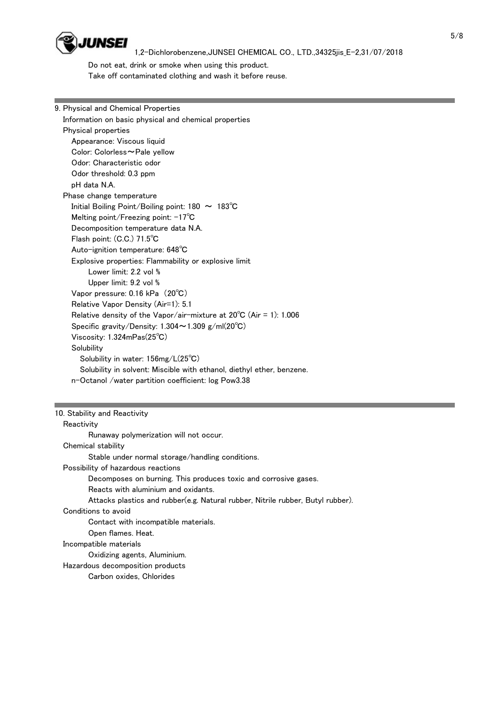

 Do not eat, drink or smoke when using this product. Take off contaminated clothing and wash it before reuse.

# 9. Physical and Chemical Properties Information on basic physical and chemical properties Physical properties Appearance: Viscous liquid Color: Colorless~Pale yellow Odor: Characteristic odor Odor threshold: 0.3 ppm pH data N.A. Phase change temperature Initial Boiling Point/Boiling point: 180 ~ 183℃ Melting point/Freezing point: -17℃ Decomposition temperature data N.A. Flash point: (C.C.) 71.5℃ Auto-ignition temperature: 648℃ Explosive properties: Flammability or explosive limit Lower limit: 2.2 vol % Upper limit: 9.2 vol % Vapor pressure: 0.16 kPa (20℃) Relative Vapor Density (Air=1): 5.1 Relative density of the Vapor/air-mixture at 20℃ (Air = 1): 1.006 Specific gravity/Density: 1.304~1.309 g/ml(20℃) Viscosity: 1.324mPas(25℃) **Solubility**  Solubility in water: 156mg/L(25℃) Solubility in solvent: Miscible with ethanol, diethyl ether, benzene. n-Octanol /water partition coefficient: log Pow3.38

# 10. Stability and Reactivity

## **Reactivity**  Runaway polymerization will not occur. Chemical stability Stable under normal storage/handling conditions. Possibility of hazardous reactions Decomposes on burning. This produces toxic and corrosive gases. Reacts with aluminium and oxidants. Attacks plastics and rubber(e.g. Natural rubber, Nitrile rubber, Butyl rubber). Conditions to avoid Contact with incompatible materials. Open flames. Heat. Incompatible materials Oxidizing agents, Aluminium. Hazardous decomposition products Carbon oxides, Chlorides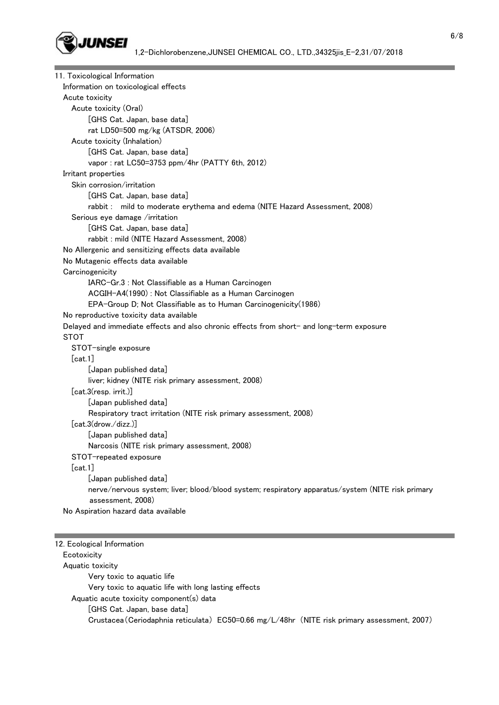

| 11. Toxicological Information                                                                    |
|--------------------------------------------------------------------------------------------------|
| Information on toxicological effects                                                             |
| Acute toxicity                                                                                   |
| Acute toxicity (Oral)                                                                            |
| [GHS Cat. Japan, base data]                                                                      |
| rat LD50=500 mg/kg (ATSDR, 2006)                                                                 |
| Acute toxicity (Inhalation)                                                                      |
| [GHS Cat. Japan, base data]                                                                      |
| vapor: rat LC50=3753 ppm/4hr (PATTY 6th, 2012)                                                   |
| Irritant properties                                                                              |
| Skin corrosion/irritation                                                                        |
| [GHS Cat. Japan, base data]                                                                      |
| rabbit: mild to moderate erythema and edema (NITE Hazard Assessment, 2008)                       |
| Serious eye damage /irritation                                                                   |
| [GHS Cat. Japan, base data]                                                                      |
| rabbit: mild (NITE Hazard Assessment, 2008)                                                      |
| No Allergenic and sensitizing effects data available                                             |
| No Mutagenic effects data available                                                              |
| Carcinogenicity                                                                                  |
| IARC-Gr.3 : Not Classifiable as a Human Carcinogen                                               |
| ACGIH-A4(1990) : Not Classifiable as a Human Carcinogen                                          |
| EPA-Group D; Not Classifiable as to Human Carcinogenicity(1986)                                  |
| No reproductive toxicity data available                                                          |
| Delayed and immediate effects and also chronic effects from short- and long-term exposure        |
| <b>STOT</b>                                                                                      |
| STOT-single exposure                                                                             |
| [cat.1]                                                                                          |
| [Japan published data]                                                                           |
| liver; kidney (NITE risk primary assessment, 2008)                                               |
| [cat.3(resp. irrit.)]                                                                            |
| [Japan published data]                                                                           |
| Respiratory tract irritation (NITE risk primary assessment, 2008)                                |
| [cat.3(drow./dizz.)]                                                                             |
| [Japan published data]                                                                           |
| Narcosis (NITE risk primary assessment, 2008)                                                    |
| STOT-repeated exposure                                                                           |
| [cat.1]                                                                                          |
| [Japan published data]                                                                           |
| nerve/nervous system; liver; blood/blood system; respiratory apparatus/system (NITE risk primary |
| assessment, 2008)                                                                                |
| No Aspiration hazard data available                                                              |
|                                                                                                  |

| 12. Ecological Information                                                                   |  |
|----------------------------------------------------------------------------------------------|--|
| Ecotoxicity                                                                                  |  |
| Aquatic toxicity                                                                             |  |
| Very toxic to aquatic life                                                                   |  |
| Very toxic to aquatic life with long lasting effects                                         |  |
| Aquatic acute toxicity component(s) data                                                     |  |
| [GHS Cat. Japan, base data]                                                                  |  |
| Crustacea (Ceriodaphnia reticulata) EC50=0.66 mg/L/48hr (NITE risk primary assessment, 2007) |  |

۰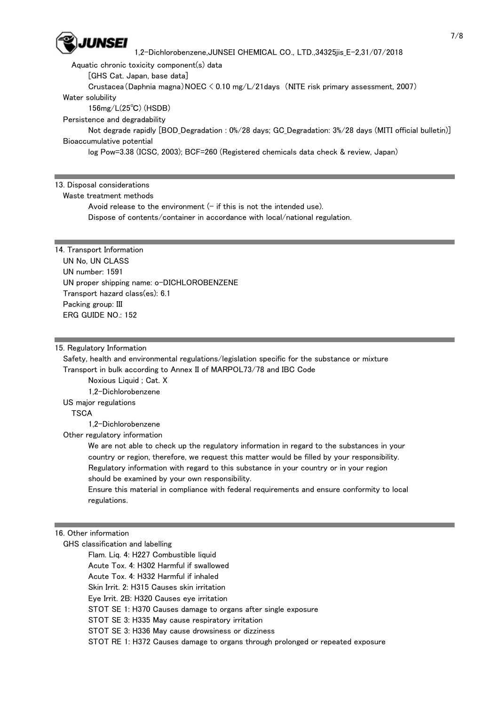

1,2-Dichlorobenzene,JUNSEI CHEMICAL CO., LTD.,34325jis\_E-2,31/07/2018

Aquatic chronic toxicity component(s) data

[GHS Cat. Japan, base data]

 Crustacea(Daphnia magna)NOEC < 0.10 mg/L/21days (NITE risk primary assessment, 2007) Water solubility

156mg/L(25℃) (HSDB)

Persistence and degradability

 Not degrade rapidly [BOD\_Degradation : 0%/28 days; GC\_Degradation: 3%/28 days (MITI official bulletin)] Bioaccumulative potential

log Pow=3.38 (ICSC, 2003); BCF=260 (Registered chemicals data check & review, Japan)

### 13. Disposal considerations

## Waste treatment methods

Avoid release to the environment  $(-$  if this is not the intended use).

Dispose of contents/container in accordance with local/national regulation.

# 14. Transport Information

 UN No, UN CLASS UN number: 1591 UN proper shipping name: o-DICHLOROBENZENE Transport hazard class(es): 6.1 Packing group: III ERG GUIDE NO.: 152

### 15. Regulatory Information

 Safety, health and environmental regulations/legislation specific for the substance or mixture Transport in bulk according to Annex II of MARPOL73/78 and IBC Code

Noxious Liquid ; Cat. X

1,2-Dichlorobenzene

US major regulations

**TSCA** 

1,2-Dichlorobenzene

Other regulatory information

 We are not able to check up the regulatory information in regard to the substances in your country or region, therefore, we request this matter would be filled by your responsibility. Regulatory information with regard to this substance in your country or in your region should be examined by your own responsibility.

 Ensure this material in compliance with federal requirements and ensure conformity to local regulations.

16. Other information

 GHS classification and labelling Flam. Liq. 4: H227 Combustible liquid Acute Tox. 4: H302 Harmful if swallowed Acute Tox. 4: H332 Harmful if inhaled Skin Irrit. 2: H315 Causes skin irritation Eye Irrit. 2B: H320 Causes eye irritation STOT SE 1: H370 Causes damage to organs after single exposure STOT SE 3: H335 May cause respiratory irritation STOT SE 3: H336 May cause drowsiness or dizziness STOT RE 1: H372 Causes damage to organs through prolonged or repeated exposure